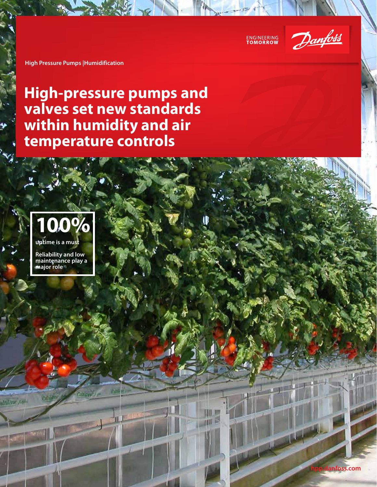

**High Pressure Pumps |Humidification**

## **High-pressure pumps and valves set new standards within humidity and air temperature controls**



**Reliability and low maintenance play a major role**

**Canal** 

ultilene yanı

Cantricks-

**hpp.danfoss.com**

a caps

15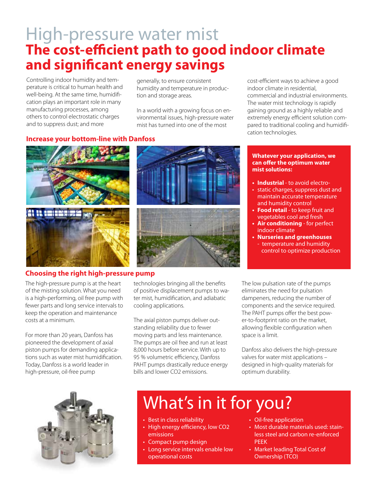# High-pressure water mist **The cost-efficient path to good indoor climate and significant energy savings**

Controlling indoor humidity and temperature is critical to human health and well-being. At the same time, humidification plays an important role in many manufacturing processes, among others to control electrostatic charges and to suppress dust; and more

generally, to ensure consistent humidity and temperature in production and storage areas.

In a world with a growing focus on environmental issues, high-pressure water mist has turned into one of the most

cost-efficient ways to achieve a good indoor climate in residential, commercial and industrial environments. The water mist technology is rapidly gaining ground as a highly reliable and extremely energy efficient solution compared to traditional cooling and humidification technologies.

### **Increase your bottom-line with Danfoss**



#### **Choosing the right high-pressure pump**

The high-pressure pump is at the heart of the misting solution. What you need is a high-performing, oil free pump with fewer parts and long service intervals to keep the operation and maintenance costs at a minimum.

For more than 20 years, Danfoss has pioneered the development of axial piston pumps for demanding applications such as water mist humidification. Today, Danfoss is a world leader in high-pressure, oil-free pump

technologies bringing all the benefits of positive displacement pumps to water mist, humidification, and adiabatic cooling applications.

The axial piston pumps deliver outstanding reliability due to fewer moving parts and less maintenance. The pumps are oil free and run at least 8,000 hours before service. With up to 95 % volumetric efficiency, Danfoss PAHT pumps drastically reduce energy bills and lower CO2 emissions.

**Whatever your application, we can offer the optimum water mist solutions:**

- **• Industrial** to avoid electro-
- static charges, suppress dust and maintain accurate temperature and humidity control
- **• Food retail** to keep fruit and vegetables cool and fresh
- **• Air conditioning** for perfect indoor climate
- **• Nurseries and greenhouses**  - temperature and humidity control to optimize production

The low pulsation rate of the pumps eliminates the need for pulsation dampeners, reducing the number of components and the service required. The PAHT pumps offer the best power-to-footprint ratio on the market, allowing flexible configuration when space is a limit.

Danfoss also delivers the high-pressure valves for water mist applications – designed in high-quality materials for optimum durability.



# What's in it for you?

- Best in class reliability
- High energy efficiency, low CO2 emissions
- Compact pump design
- Long service intervals enable low operational costs
- Oil-free application
- Most durable materials used: stainless steel and carbon re-enforced PEEK
- Market leading Total Cost of Ownership (TCO)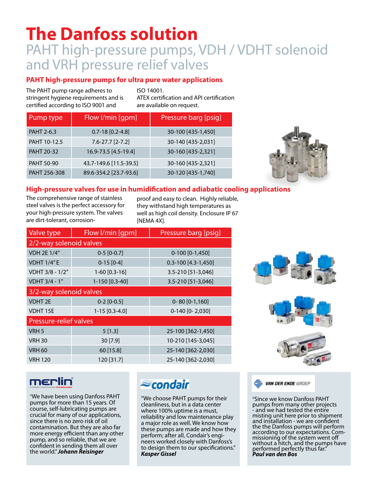# **The Danfoss solution** PAHT high-pressure pumps, VDH / VDHT solenoid and VRH pressure relief valves

### **PAHT high-pressure pumps for ultra pure water applications**

The PAHT pump range adheres to stringent hygiene requirements and is certified according to ISO 9001 and

ISO 14001. ATEX certification and API certification are available on request.

| Pump type    | Flow I/min [gpm]       | Pressure barg [psig] |
|--------------|------------------------|----------------------|
| PAHT 2-6.3   | $0.7 - 18$ [0.2-4.8]   | 30-100 [435-1,450]   |
| PAHT 10-12.5 | $7.6 - 27.7$ [2-7.2]   | 30-140 [435-2,031]   |
| PAHT 20-32   | 16.9-73.5 [4.5-19.4]   | 30-160 [435-2,321]   |
| PAHT 50-90   | 43.7-149.6 [11.5-39.5] | 30-160 [435-2,321]   |
| PAHT 256-308 | 89.6-354.2 [23.7-93.6] | 30-120 [435-1,740]   |



### **High-pressure valves for use in humidification and adiabatic cooling applications**

The comprehensive range of stainless steel valves is the perfect accessory for your high-pressure system. The valves are dirt-tolerant, corrosion-

proof and easy to clean. Highly reliable, they withstand high temperatures as well as high coil density. Enclosure IP 67 [NEMA 4X].

| Valve type                    | Flow I/min [gpm] | Pressure barg [psig]    |  |
|-------------------------------|------------------|-------------------------|--|
| 2/2-way solenoid valves       |                  |                         |  |
| <b>VDH 2E 1/4"</b>            | $0-5$ [0-0.7]    | $0-100$ [0-1,450]       |  |
| <b>VDHT 1/4"E</b>             | $0-15$ [0-4]     | $0.3 - 100$ [4.3-1,450] |  |
| VDHT 3/8 - 1/2"               | $1-60$ [0.3-16]  | 3.5-210 [51-3,046]      |  |
| VDHT 3/4 - 1"                 | 1-150 [0.3-40]   | 3.5-210 [51-3,046]      |  |
| 3/2-way solenoid valves       |                  |                         |  |
| <b>VDHT 2E</b>                | $0-2$ [0-0.5]    | $0 - 80 [0 - 1, 160]$   |  |
| <b>VDHT15E</b>                | $1-15$ [0.3-4.0] | $0-140$ [0-2,030]       |  |
| <b>Pressure-relief valves</b> |                  |                         |  |
| VRH <sub>5</sub>              | 5[1.3]           | 25-100 [362-1,450]      |  |
| <b>VRH 30</b>                 | 30[7.9]          | 10-210 [145-3,045]      |  |
| <b>VRH 60</b>                 | 60 [15.8]        | 25-140 [362-2,030]      |  |
| <b>VRH 120</b>                | 120 [31.7]       | 25-140 [362-2,030]      |  |





### merlin

"We have been using Danfoss PAHT pumps for more than 15 years. Of course, self-lubricating pumps are crucial for many of our applications, since there is no zero risk of oil contamination. But they are also far more energy efficient than any other pump, and so reliable, that we are confident in sending them all over the world." *Johann Reisinger* 

## *Econdair*

"We choose PAHT pumps for their cleanliness, but in a data center where 100% uptime is a must, reliability and low maintenance play a major role as well. We know how these pumps are made and how they perform; after all, Condair's engineers worked closely with Danfoss's to design them to our specifications." *Kasper Gissel*

**VAN DER ENDE GROEP** 

"Since we know Danfoss PAHT pumps from many other projects - and we had tested the entire misting unit here prior to shipment and installation - we are confident the the Danfoss pumps will perform<br>according to our expectations. Comaccording to our expectations. Com- missioning of the system went off without a hitch, and the pumps have performed perfectly thus far." *Paul van den Bos*